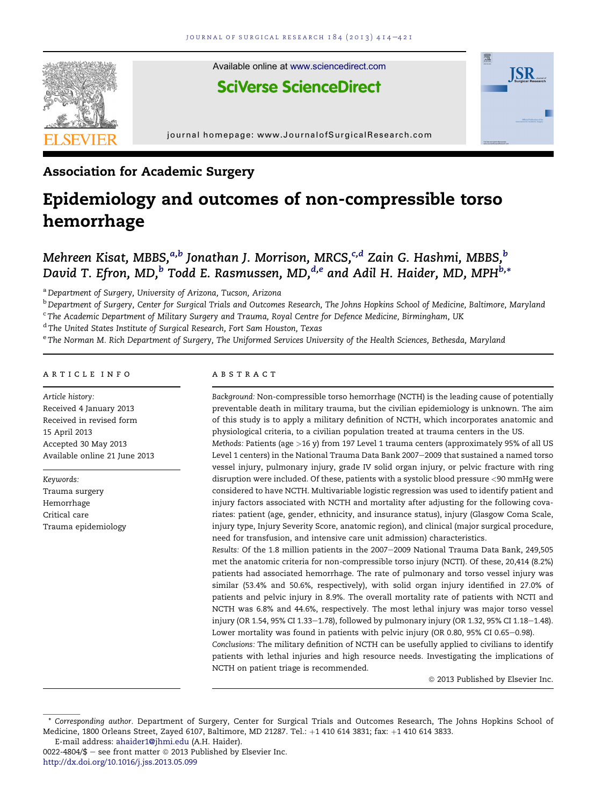

Available online at www.sciencedirect.com

## **SciVerse ScienceDirect**



journal homepage: www.JournalofSurgicalResearch.com

## Association for Academic Surgery

# Epidemiology and outcomes of non-compressible torso hemorrhage

### Mehreen Kisat, MBBS,<sup>a,b</sup> Jonathan J. Morrison, MRCS,<sup>c,d</sup> Zain G. Hashmi, MBBS,<sup>b</sup> David T. Efron, MD.<sup>b</sup> Todd E. Rasmussen, MD.<sup>d,e</sup> and Adil H. Haider, MD. MPH<sup>b,\*</sup>

<sup>a</sup> Department of Surgery, University of Arizona, Tucson, Arizona

<sup>b</sup> Department of Surgery, Center for Surgical Trials and Outcomes Research, The Johns Hopkins School of Medicine, Baltimore, Maryland

<sup>c</sup> The Academic Department of Military Surgery and Trauma, Royal Centre for Defence Medicine, Birmingham, UK

<sup>d</sup> The United States Institute of Surgical Research, Fort Sam Houston, Texas

<sup>e</sup> The Norman M. Rich Department of Surgery, The Uniformed Services University of the Health Sciences, Bethesda, Maryland

#### article info

Article history: Received 4 January 2013 Received in revised form 15 April 2013 Accepted 30 May 2013 Available online 21 June 2013

Keywords: Trauma surgery Hemorrhage Critical care Trauma epidemiology

#### abstract

Background: Non-compressible torso hemorrhage (NCTH) is the leading cause of potentially preventable death in military trauma, but the civilian epidemiology is unknown. The aim of this study is to apply a military definition of NCTH, which incorporates anatomic and physiological criteria, to a civilian population treated at trauma centers in the US.

Methods: Patients (age >16 y) from 197 Level 1 trauma centers (approximately 95% of all US Level 1 centers) in the National Trauma Data Bank 2007-2009 that sustained a named torso vessel injury, pulmonary injury, grade IV solid organ injury, or pelvic fracture with ring disruption were included. Of these, patients with a systolic blood pressure <90 mmHg were considered to have NCTH. Multivariable logistic regression was used to identify patient and injury factors associated with NCTH and mortality after adjusting for the following covariates: patient (age, gender, ethnicity, and insurance status), injury (Glasgow Coma Scale, injury type, Injury Severity Score, anatomic region), and clinical (major surgical procedure, need for transfusion, and intensive care unit admission) characteristics.

Results: Of the 1.8 million patients in the 2007-2009 National Trauma Data Bank, 249,505 met the anatomic criteria for non-compressible torso injury (NCTI). Of these, 20,414 (8.2%) patients had associated hemorrhage. The rate of pulmonary and torso vessel injury was similar (53.4% and 50.6%, respectively), with solid organ injury identified in 27.0% of patients and pelvic injury in 8.9%. The overall mortality rate of patients with NCTI and NCTH was 6.8% and 44.6%, respectively. The most lethal injury was major torso vessel injury (OR 1.54, 95% CI 1.33-1.78), followed by pulmonary injury (OR 1.32, 95% CI 1.18-1.48). Lower mortality was found in patients with pelvic injury (OR 0.80, 95% CI 0.65-0.98).

Conclusions: The military definition of NCTH can be usefully applied to civilians to identify patients with lethal injuries and high resource needs. Investigating the implications of NCTH on patient triage is recommended.

 $@$  2013 Published by Elsevier Inc.

Corresponding author. Department of Surgery, Center for Surgical Trials and Outcomes Research, The Johns Hopkins School of Medicine, 1800 Orleans Street, Zayed 6107, Baltimore, MD 21287. Tel.: +1 410 614 3831; fax: +1 410 614 3833.

E-mail address: ahaider1@jhmi.edu (A.H. Haider).

<sup>0022-4804/\$ –</sup> see front matter  $\odot$  2013 Published by Elsevier Inc. http://dx.doi.org/10.1016/j.jss.2013.05.099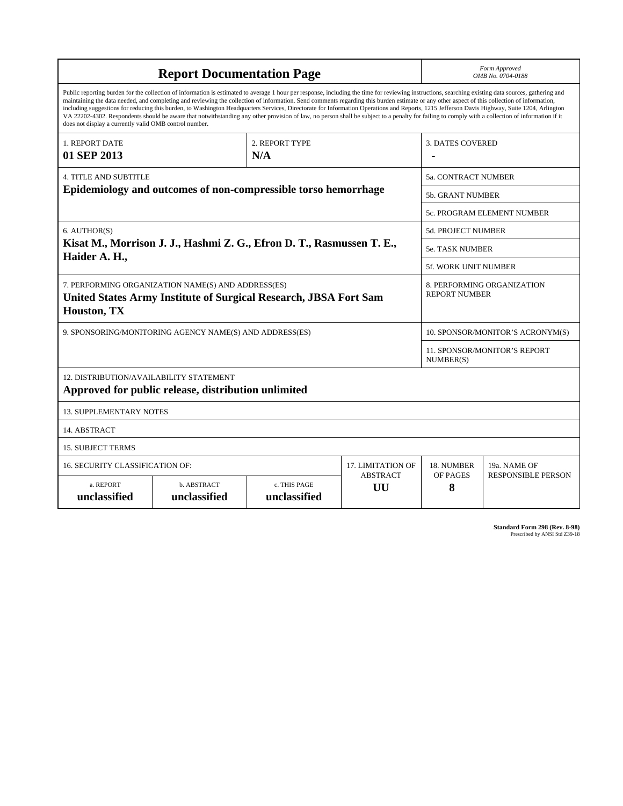| <b>Report Documentation Page</b>                                                                                                                                                                                                                                                                                                                                                                                                                                                                                                                                                                                                                                                                                                                                                                                                                                   |                             |                              | Form Approved<br>OMB No. 0704-0188                 |                                  |                           |
|--------------------------------------------------------------------------------------------------------------------------------------------------------------------------------------------------------------------------------------------------------------------------------------------------------------------------------------------------------------------------------------------------------------------------------------------------------------------------------------------------------------------------------------------------------------------------------------------------------------------------------------------------------------------------------------------------------------------------------------------------------------------------------------------------------------------------------------------------------------------|-----------------------------|------------------------------|----------------------------------------------------|----------------------------------|---------------------------|
| Public reporting burden for the collection of information is estimated to average 1 hour per response, including the time for reviewing instructions, searching existing data sources, gathering and<br>maintaining the data needed, and completing and reviewing the collection of information. Send comments regarding this burden estimate or any other aspect of this collection of information,<br>including suggestions for reducing this burden, to Washington Headquarters Services, Directorate for Information Operations and Reports, 1215 Jefferson Davis Highway, Suite 1204, Arlington<br>VA 22202-4302. Respondents should be aware that notwithstanding any other provision of law, no person shall be subject to a penalty for failing to comply with a collection of information if it<br>does not display a currently valid OMB control number. |                             |                              |                                                    |                                  |                           |
| 1. REPORT DATE<br>01 SEP 2013                                                                                                                                                                                                                                                                                                                                                                                                                                                                                                                                                                                                                                                                                                                                                                                                                                      |                             | 2. REPORT TYPE<br>N/A        |                                                    | <b>3. DATES COVERED</b>          |                           |
| <b>4. TITLE AND SUBTITLE</b><br>Epidemiology and outcomes of non-compressible torso hemorrhage                                                                                                                                                                                                                                                                                                                                                                                                                                                                                                                                                                                                                                                                                                                                                                     |                             |                              | <b>5a. CONTRACT NUMBER</b>                         |                                  |                           |
|                                                                                                                                                                                                                                                                                                                                                                                                                                                                                                                                                                                                                                                                                                                                                                                                                                                                    |                             |                              | 5b. GRANT NUMBER                                   |                                  |                           |
|                                                                                                                                                                                                                                                                                                                                                                                                                                                                                                                                                                                                                                                                                                                                                                                                                                                                    |                             |                              | 5c. PROGRAM ELEMENT NUMBER                         |                                  |                           |
| 6. AUTHOR(S)<br>Kisat M., Morrison J. J., Hashmi Z. G., Efron D. T., Rasmussen T. E.,<br>Haider A. H.,                                                                                                                                                                                                                                                                                                                                                                                                                                                                                                                                                                                                                                                                                                                                                             |                             |                              | 5d. PROJECT NUMBER                                 |                                  |                           |
|                                                                                                                                                                                                                                                                                                                                                                                                                                                                                                                                                                                                                                                                                                                                                                                                                                                                    |                             |                              | <b>5e. TASK NUMBER</b>                             |                                  |                           |
|                                                                                                                                                                                                                                                                                                                                                                                                                                                                                                                                                                                                                                                                                                                                                                                                                                                                    |                             |                              | 5f. WORK UNIT NUMBER                               |                                  |                           |
| 7. PERFORMING ORGANIZATION NAME(S) AND ADDRESS(ES)<br>United States Army Institute of Surgical Research, JBSA Fort Sam<br>Houston, TX                                                                                                                                                                                                                                                                                                                                                                                                                                                                                                                                                                                                                                                                                                                              |                             |                              | 8. PERFORMING ORGANIZATION<br><b>REPORT NUMBER</b> |                                  |                           |
| 9. SPONSORING/MONITORING AGENCY NAME(S) AND ADDRESS(ES)                                                                                                                                                                                                                                                                                                                                                                                                                                                                                                                                                                                                                                                                                                                                                                                                            |                             |                              |                                                    | 10. SPONSOR/MONITOR'S ACRONYM(S) |                           |
|                                                                                                                                                                                                                                                                                                                                                                                                                                                                                                                                                                                                                                                                                                                                                                                                                                                                    |                             |                              | 11. SPONSOR/MONITOR'S REPORT<br>NUMBER(S)          |                                  |                           |
| 12. DISTRIBUTION/AVAILABILITY STATEMENT<br>Approved for public release, distribution unlimited                                                                                                                                                                                                                                                                                                                                                                                                                                                                                                                                                                                                                                                                                                                                                                     |                             |                              |                                                    |                                  |                           |
| <b>13. SUPPLEMENTARY NOTES</b>                                                                                                                                                                                                                                                                                                                                                                                                                                                                                                                                                                                                                                                                                                                                                                                                                                     |                             |                              |                                                    |                                  |                           |
| 14. ABSTRACT                                                                                                                                                                                                                                                                                                                                                                                                                                                                                                                                                                                                                                                                                                                                                                                                                                                       |                             |                              |                                                    |                                  |                           |
| <b>15. SUBJECT TERMS</b>                                                                                                                                                                                                                                                                                                                                                                                                                                                                                                                                                                                                                                                                                                                                                                                                                                           |                             |                              |                                                    |                                  |                           |
| 16. SECURITY CLASSIFICATION OF:                                                                                                                                                                                                                                                                                                                                                                                                                                                                                                                                                                                                                                                                                                                                                                                                                                    |                             |                              | <b>17. LIMITATION OF</b>                           | 18. NUMBER                       | 19a. NAME OF              |
| a. REPORT<br>unclassified                                                                                                                                                                                                                                                                                                                                                                                                                                                                                                                                                                                                                                                                                                                                                                                                                                          | b. ABSTRACT<br>unclassified | c. THIS PAGE<br>unclassified | <b>ABSTRACT</b><br>UU                              | OF PAGES<br>8                    | <b>RESPONSIBLE PERSON</b> |

**Standard Form 298 (Rev. 8-98)**<br>Prescribed by ANSI Std Z39-18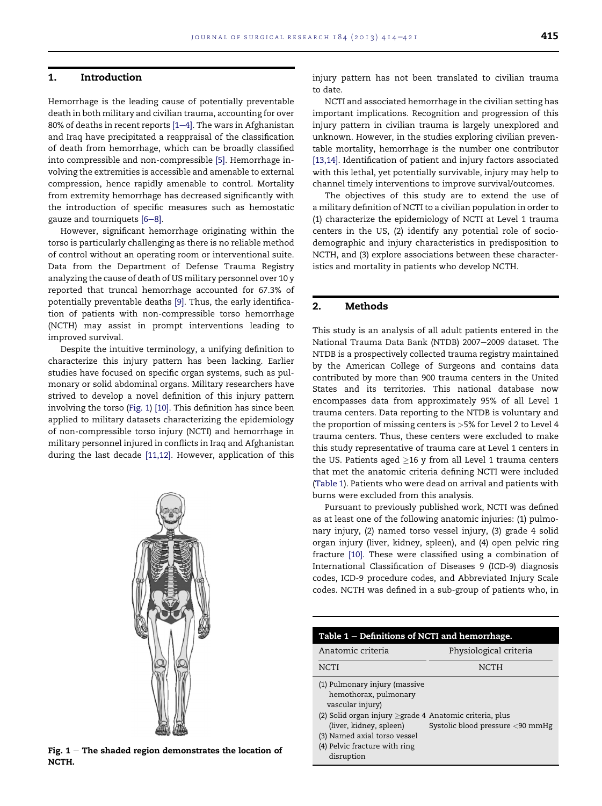#### 1. Introduction

Hemorrhage is the leading cause of potentially preventable death in both military and civilian trauma, accounting for over 80% of deaths in recent reports  $[1-4]$ . The wars in Afghanistan and Iraq have precipitated a reappraisal of the classification of death from hemorrhage, which can be broadly classified into compressible and non-compressible [5]. Hemorrhage involving the extremities is accessible and amenable to external compression, hence rapidly amenable to control. Mortality from extremity hemorrhage has decreased significantly with the introduction of specific measures such as hemostatic gauze and tourniquets  $[6-8]$ .

However, significant hemorrhage originating within the torso is particularly challenging as there is no reliable method of control without an operating room or interventional suite. Data from the Department of Defense Trauma Registry analyzing the cause of death of US military personnel over 10 y reported that truncal hemorrhage accounted for 67.3% of potentially preventable deaths [9]. Thus, the early identification of patients with non-compressible torso hemorrhage (NCTH) may assist in prompt interventions leading to improved survival.

Despite the intuitive terminology, a unifying definition to characterize this injury pattern has been lacking. Earlier studies have focused on specific organ systems, such as pulmonary or solid abdominal organs. Military researchers have strived to develop a novel definition of this injury pattern involving the torso (Fig. 1) [10]. This definition has since been applied to military datasets characterizing the epidemiology of non-compressible torso injury (NCTI) and hemorrhage in military personnel injured in conflicts in Iraq and Afghanistan during the last decade [11,12]. However, application of this



Fig.  $1$  – The shaded region demonstrates the location of NCTH.

injury pattern has not been translated to civilian trauma to date.

NCTI and associated hemorrhage in the civilian setting has important implications. Recognition and progression of this injury pattern in civilian trauma is largely unexplored and unknown. However, in the studies exploring civilian preventable mortality, hemorrhage is the number one contributor [13,14]. Identification of patient and injury factors associated with this lethal, yet potentially survivable, injury may help to channel timely interventions to improve survival/outcomes.

The objectives of this study are to extend the use of a military definition of NCTI to a civilian population in order to (1) characterize the epidemiology of NCTI at Level 1 trauma centers in the US, (2) identify any potential role of sociodemographic and injury characteristics in predisposition to NCTH, and (3) explore associations between these characteristics and mortality in patients who develop NCTH.

#### 2. Methods

This study is an analysis of all adult patients entered in the National Trauma Data Bank (NTDB) 2007-2009 dataset. The NTDB is a prospectively collected trauma registry maintained by the American College of Surgeons and contains data contributed by more than 900 trauma centers in the United States and its territories. This national database now encompasses data from approximately 95% of all Level 1 trauma centers. Data reporting to the NTDB is voluntary and the proportion of missing centers is  $>5\%$  for Level 2 to Level 4 trauma centers. Thus, these centers were excluded to make this study representative of trauma care at Level 1 centers in the US. Patients aged  $\geq$ 16 y from all Level 1 trauma centers that met the anatomic criteria defining NCTI were included (Table 1). Patients who were dead on arrival and patients with burns were excluded from this analysis.

Pursuant to previously published work, NCTI was defined as at least one of the following anatomic injuries: (1) pulmonary injury, (2) named torso vessel injury, (3) grade 4 solid organ injury (liver, kidney, spleen), and (4) open pelvic ring fracture [10]. These were classified using a combination of International Classification of Diseases 9 (ICD-9) diagnosis codes, ICD-9 procedure codes, and Abbreviated Injury Scale codes. NCTH was defined in a sub-group of patients who, in

| Table $1$ – Definitions of NCTI and hemorrhage.                                                                                                                                                                                                       |                                  |  |  |
|-------------------------------------------------------------------------------------------------------------------------------------------------------------------------------------------------------------------------------------------------------|----------------------------------|--|--|
| Anatomic criteria                                                                                                                                                                                                                                     | Physiological criteria           |  |  |
| NCTI                                                                                                                                                                                                                                                  | <b>NCTH</b>                      |  |  |
| (1) Pulmonary injury (massive<br>hemothorax, pulmonary<br>vascular injury)<br>(2) Solid organ injury $\geq$ grade 4 Anatomic criteria, plus<br>(liver, kidney, spleen)<br>(3) Named axial torso vessel<br>(4) Pelvic fracture with ring<br>disruption | Systolic blood pressure <90 mmHg |  |  |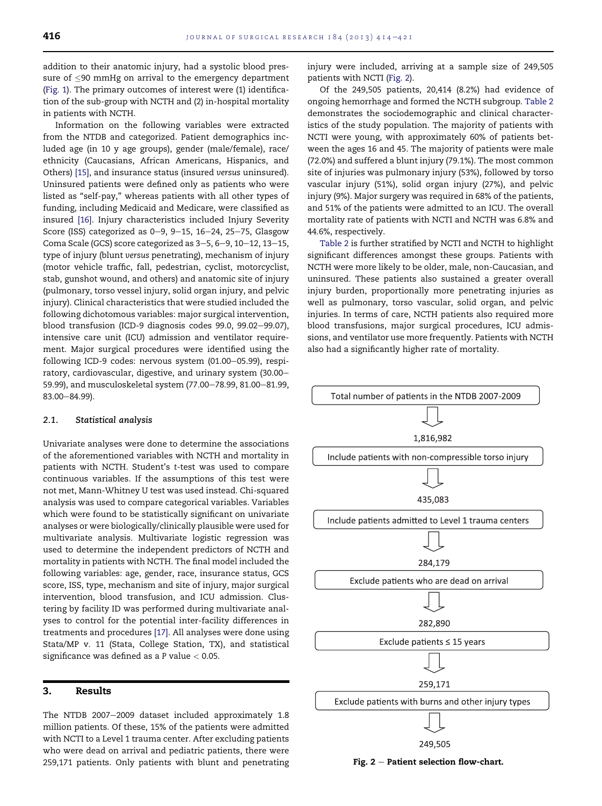addition to their anatomic injury, had a systolic blood pressure of  $\leq$ 90 mmHg on arrival to the emergency department (Fig. 1). The primary outcomes of interest were (1) identification of the sub-group with NCTH and (2) in-hospital mortality in patients with NCTH.

Information on the following variables were extracted from the NTDB and categorized. Patient demographics included age (in 10 y age groups), gender (male/female), race/ ethnicity (Caucasians, African Americans, Hispanics, and Others) [15], and insurance status (insured versus uninsured). Uninsured patients were defined only as patients who were listed as "self-pay," whereas patients with all other types of funding, including Medicaid and Medicare, were classified as insured [16]. Injury characteristics included Injury Severity Score (ISS) categorized as  $0-9$ ,  $9-15$ ,  $16-24$ ,  $25-75$ , Glasgow Coma Scale (GCS) score categorized as  $3-5$ ,  $6-9$ ,  $10-12$ ,  $13-15$ , type of injury (blunt versus penetrating), mechanism of injury (motor vehicle traffic, fall, pedestrian, cyclist, motorcyclist, stab, gunshot wound, and others) and anatomic site of injury (pulmonary, torso vessel injury, solid organ injury, and pelvic injury). Clinical characteristics that were studied included the following dichotomous variables: major surgical intervention, blood transfusion (ICD-9 diagnosis codes 99.0, 99.02-99.07), intensive care unit (ICU) admission and ventilator requirement. Major surgical procedures were identified using the following ICD-9 codes: nervous system (01.00-05.99), respiratory, cardiovascular, digestive, and urinary system (30.00-59.99), and musculoskeletal system (77.00-78.99, 81.00-81.99, 83.00-84.99).

#### 2.1. Statistical analysis

Univariate analyses were done to determine the associations of the aforementioned variables with NCTH and mortality in patients with NCTH. Student's t-test was used to compare continuous variables. If the assumptions of this test were not met, Mann-Whitney U test was used instead. Chi-squared analysis was used to compare categorical variables. Variables which were found to be statistically significant on univariate analyses or were biologically/clinically plausible were used for multivariate analysis. Multivariate logistic regression was used to determine the independent predictors of NCTH and mortality in patients with NCTH. The final model included the following variables: age, gender, race, insurance status, GCS score, ISS, type, mechanism and site of injury, major surgical intervention, blood transfusion, and ICU admission. Clustering by facility ID was performed during multivariate analyses to control for the potential inter-facility differences in treatments and procedures [17]. All analyses were done using Stata/MP v. 11 (Stata, College Station, TX), and statistical significance was defined as a P value < 0.05.

#### 3. Results

The NTDB 2007-2009 dataset included approximately 1.8 million patients. Of these, 15% of the patients were admitted with NCTI to a Level 1 trauma center. After excluding patients who were dead on arrival and pediatric patients, there were 259,171 patients. Only patients with blunt and penetrating injury were included, arriving at a sample size of 249,505 patients with NCTI (Fig. 2).

Of the 249,505 patients, 20,414 (8.2%) had evidence of ongoing hemorrhage and formed the NCTH subgroup. Table 2 demonstrates the sociodemographic and clinical characteristics of the study population. The majority of patients with NCTI were young, with approximately 60% of patients between the ages 16 and 45. The majority of patients were male (72.0%) and suffered a blunt injury (79.1%). The most common site of injuries was pulmonary injury (53%), followed by torso vascular injury (51%), solid organ injury (27%), and pelvic injury (9%). Major surgery was required in 68% of the patients, and 51% of the patients were admitted to an ICU. The overall mortality rate of patients with NCTI and NCTH was 6.8% and 44.6%, respectively.

Table 2 is further stratified by NCTI and NCTH to highlight significant differences amongst these groups. Patients with NCTH were more likely to be older, male, non-Caucasian, and uninsured. These patients also sustained a greater overall injury burden, proportionally more penetrating injuries as well as pulmonary, torso vascular, solid organ, and pelvic injuries. In terms of care, NCTH patients also required more blood transfusions, major surgical procedures, ICU admissions, and ventilator use more frequently. Patients with NCTH also had a significantly higher rate of mortality.



Fig.  $2$  – Patient selection flow-chart.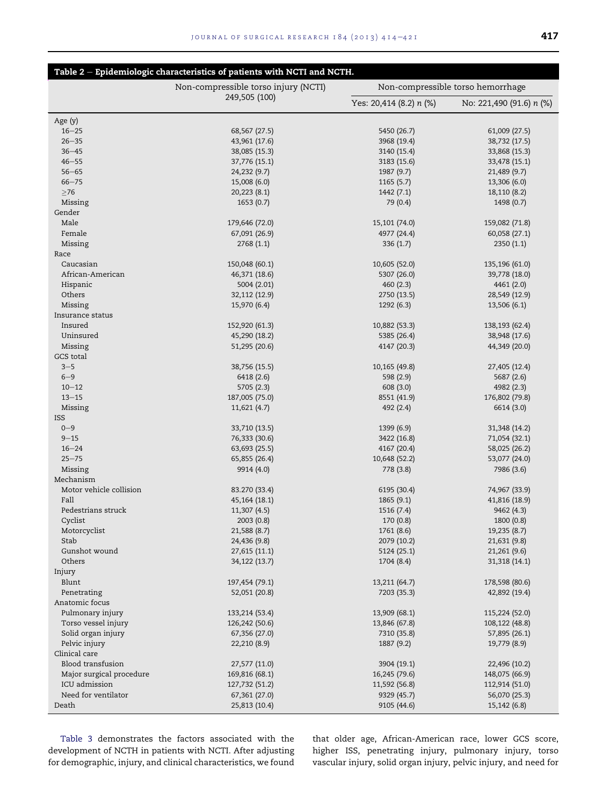|                                           | Table 2 - Epidemiologic characteristics of patients with NCTI and NCTH. |                                   |                          |
|-------------------------------------------|-------------------------------------------------------------------------|-----------------------------------|--------------------------|
|                                           | Non-compressible torso injury (NCTI)                                    | Non-compressible torso hemorrhage |                          |
|                                           | 249,505 (100)                                                           | Yes: 20,414 (8.2) n (%)           | No: 221,490 (91.6) n (%) |
| Age $(y)$                                 |                                                                         |                                   |                          |
| $16 - 25$                                 | 68,567 (27.5)                                                           | 5450 (26.7)                       | 61,009 (27.5)            |
| $26 - 35$                                 | 43,961 (17.6)                                                           | 3968 (19.4)                       | 38,732 (17.5)            |
| $36 - 45$                                 | 38,085 (15.3)                                                           | 3140 (15.4)                       | 33,868 (15.3)            |
| $46 - 55$                                 | 37,776 (15.1)                                                           | 3183 (15.6)                       | 33,478 (15.1)            |
| $56 - 65$                                 | 24,232 (9.7)                                                            | 1987 (9.7)                        | 21,489 (9.7)             |
| $66 - 75$                                 | 15,008 (6.0)                                                            | 1165(5.7)                         | 13,306 (6.0)             |
| $\geq$ 76                                 | 20,223 (8.1)                                                            | 1442 (7.1)                        | 18,110 (8.2)             |
| Missing                                   | 1653(0.7)                                                               | 79 (0.4)                          | 1498 (0.7)               |
| Gender                                    |                                                                         |                                   |                          |
| Male                                      | 179,646 (72.0)                                                          | 15,101 (74.0)                     | 159,082 (71.8)           |
| Female                                    | 67,091 (26.9)                                                           | 4977 (24.4)                       | 60,058 (27.1)            |
| Missing                                   | 2768(1.1)                                                               | 336(1.7)                          | 2350(1.1)                |
| Race                                      |                                                                         |                                   |                          |
| Caucasian                                 | 150,048 (60.1)                                                          | 10,605 (52.0)                     | 135,196 (61.0)           |
| African-American                          | 46,371 (18.6)                                                           | 5307 (26.0)                       | 39,778 (18.0)            |
| Hispanic                                  | 5004 (2.01)                                                             | 460(2.3)                          | 4461 (2.0)               |
| Others                                    | 32,112 (12.9)                                                           | 2750 (13.5)                       | 28,549 (12.9)            |
| Missing                                   | 15,970 (6.4)                                                            | 1292(6.3)                         | 13,506 (6.1)             |
| Insurance status                          |                                                                         |                                   |                          |
| Insured                                   | 152,920 (61.3)                                                          | 10,882 (53.3)                     | 138,193 (62.4)           |
| Uninsured                                 | 45,290 (18.2)                                                           | 5385 (26.4)                       | 38,948 (17.6)            |
| Missing                                   | 51,295 (20.6)                                                           | 4147 (20.3)                       | 44,349 (20.0)            |
| GCS total                                 |                                                                         |                                   |                          |
| $3 - 5$                                   | 38,756 (15.5)                                                           | 10,165 (49.8)                     | 27,405 (12.4)            |
| $6 - 9$                                   | 6418 (2.6)                                                              | 598 (2.9)                         | 5687 (2.6)               |
| $10 - 12$                                 | 5705 (2.3)                                                              | 608(3.0)                          | 4982 (2.3)               |
| $13 - 15$                                 | 187,005 (75.0)                                                          | 8551 (41.9)                       | 176,802 (79.8)           |
| Missing                                   | 11,621 (4.7)                                                            | 492 (2.4)                         | 6614 (3.0)               |
| <b>ISS</b>                                |                                                                         |                                   |                          |
| $0 - 9$                                   | 33,710 (13.5)                                                           | 1399(6.9)                         | 31,348 (14.2)            |
| $9 - 15$                                  | 76,333 (30.6)                                                           | 3422 (16.8)                       | 71,054 (32.1)            |
| $16 - 24$                                 | 63,693 (25.5)                                                           | 4167 (20.4)                       | 58,025 (26.2)            |
| $25 - 75$                                 | 65,855 (26.4)                                                           | 10,648 (52.2)                     | 53,077 (24.0)            |
| Missing                                   | 9914 (4.0)                                                              | 778 (3.8)                         | 7986 (3.6)               |
| Mechanism                                 |                                                                         |                                   |                          |
| Motor vehicle collision                   | 83.270 (33.4)                                                           | 6195 (30.4)                       | 74,967 (33.9)            |
| Fall                                      | 45, 164 (18.1)                                                          | 1865 (9.1)                        | 41,816 (18.9)            |
| Pedestrians struck                        | 11,307 (4.5)                                                            | 1516 (7.4)                        | 9462 (4.3)               |
| Cyclist                                   | 2003 (0.8)                                                              | 170 (0.8)                         | 1800 (0.8)               |
| Motorcyclist                              | 21,588 (8.7)                                                            | 1761 (8.6)                        | 19,235 (8.7)             |
| Stab                                      | 24,436 (9.8)                                                            | 2079 (10.2)                       | 21,631 (9.8)             |
| Gunshot wound                             | 27,615 (11.1)                                                           | 5124 (25.1)                       | 21,261(9.6)              |
| Others                                    | 34,122 (13.7)                                                           | 1704 (8.4)                        | 31,318 (14.1)            |
| Injury                                    |                                                                         |                                   |                          |
| Blunt                                     | 197,454 (79.1)                                                          | 13,211 (64.7)                     | 178,598 (80.6)           |
| Penetrating                               | 52,051 (20.8)                                                           | 7203 (35.3)                       | 42,892 (19.4)            |
| Anatomic focus                            |                                                                         |                                   |                          |
| Pulmonary injury                          | 133,214 (53.4)                                                          | 13,909 (68.1)                     | 115,224 (52.0)           |
| Torso vessel injury                       | 126,242 (50.6)                                                          | 13,846 (67.8)                     | 108,122 (48.8)           |
| Solid organ injury                        | 67,356 (27.0)                                                           | 7310 (35.8)                       | 57,895 (26.1)            |
| Pelvic injury                             | 22,210 (8.9)                                                            | 1887 (9.2)                        | 19,779 (8.9)             |
| Clinical care                             |                                                                         |                                   |                          |
| Blood transfusion                         | 27,577 (11.0)                                                           | 3904 (19.1)                       | 22,496 (10.2)            |
| Major surgical procedure<br>ICU admission | 169,816 (68.1)                                                          | 16,245 (79.6)                     | 148,075 (66.9)           |
|                                           | 127,732 (51.2)                                                          | 11,592 (56.8)                     | 112,914 (51.0)           |
| Need for ventilator<br>Death              | 67,361 (27.0)                                                           | 9329 (45.7)                       | 56,070 (25.3)            |
|                                           | 25,813 (10.4)                                                           | 9105 (44.6)                       | 15,142(6.8)              |

Table 3 demonstrates the factors associated with the development of NCTH in patients with NCTI. After adjusting for demographic, injury, and clinical characteristics, we found

that older age, African-American race, lower GCS score, higher ISS, penetrating injury, pulmonary injury, torso vascular injury, solid organ injury, pelvic injury, and need for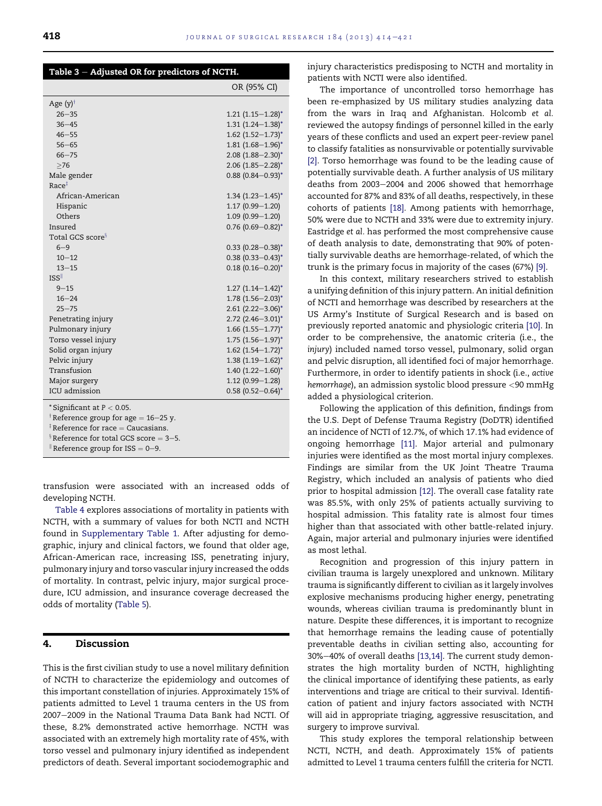| Table 3 - Adjusted OR for predictors of NCTH.                                                                                       |                                 |  |
|-------------------------------------------------------------------------------------------------------------------------------------|---------------------------------|--|
|                                                                                                                                     | OR (95% CI)                     |  |
| Age $(y)$ <sup>†</sup>                                                                                                              |                                 |  |
| $26 - 35$                                                                                                                           | $1.21$ $(1.15 - 1.28)^*$        |  |
| $36 - 45$                                                                                                                           | $1.31 (1.24 - 1.38)^*$          |  |
| $46 - 55$                                                                                                                           | $1.62$ (1.52-1.73) <sup>*</sup> |  |
| $56 - 65$                                                                                                                           | $1.81(1.68 - 1.96)^*$           |  |
| $66 - 75$                                                                                                                           | $2.08$ (1.88-2.30) <sup>*</sup> |  |
| >76                                                                                                                                 | $2.06$ (1.85-2.28) <sup>*</sup> |  |
| Male gender                                                                                                                         | $0.88$ (0.84-0.93) <sup>*</sup> |  |
| Race <sup>‡</sup>                                                                                                                   |                                 |  |
| African-American                                                                                                                    | $1.34$ $(1.23 - 1.45)^*$        |  |
| Hispanic                                                                                                                            | $1.17(0.99 - 1.20)$             |  |
| Others                                                                                                                              | $1.09(0.99 - 1.20)$             |  |
| Insured                                                                                                                             | $0.76$ (0.69-0.82) <sup>*</sup> |  |
| Total GCS score <sup>§</sup>                                                                                                        |                                 |  |
| $6 - 9$                                                                                                                             | $0.33$ (0.28-0.38) <sup>*</sup> |  |
| $10 - 12$                                                                                                                           | $0.38(0.33 - 0.43)^*$           |  |
| $13 - 15$                                                                                                                           | $0.18(0.16 - 0.20)^{*}$         |  |
| ISS                                                                                                                                 |                                 |  |
| $9 - 15$                                                                                                                            | $1.27$ $(1.14-1.42)^{*}$        |  |
| $16 - 24$                                                                                                                           | $1.78$ $(1.56 - 2.03)^*$        |  |
| $25 - 75$                                                                                                                           | $2.61(2.22 - 3.06)^*$           |  |
| Penetrating injury                                                                                                                  | $2.72$ (2.46-3.01) <sup>*</sup> |  |
| Pulmonary injury                                                                                                                    | $1.66$ $(1.55 - 1.77)^*$        |  |
| Torso vessel injury                                                                                                                 | $1.75$ $(1.56 - 1.97)^*$        |  |
| Solid organ injury                                                                                                                  | $1.62$ (1.54-1.72) <sup>*</sup> |  |
| Pelvic injury                                                                                                                       | $1.38(1.19 - 1.62)^{*}$         |  |
| Transfusion                                                                                                                         | $1.40(1.22 - 1.60)^*$           |  |
| Major surgery                                                                                                                       | $1.12(0.99 - 1.28)$             |  |
| ICU admission                                                                                                                       | $0.58$ (0.52-0.64) <sup>*</sup> |  |
| *Significant at $P < 0.05$ .<br><sup>†</sup> Reference group for age = 16–25 y.<br>${}^{\ddagger}$ Reference for race = Caucasians. |                                 |  |

<sup>‡</sup> Reference for race = Caucasians.<br><sup>§</sup> Reference for total GCS score = 3<mark>–5</mark>.

Reference group for ISS =  $0-9$ .

transfusion were associated with an increased odds of developing NCTH.

Table 4 explores associations of mortality in patients with NCTH, with a summary of values for both NCTI and NCTH found in Supplementary Table 1. After adjusting for demographic, injury and clinical factors, we found that older age, African-American race, increasing ISS, penetrating injury, pulmonary injury and torso vascular injury increased the odds of mortality. In contrast, pelvic injury, major surgical procedure, ICU admission, and insurance coverage decreased the odds of mortality (Table 5).

#### 4. Discussion

This is the first civilian study to use a novel military definition of NCTH to characterize the epidemiology and outcomes of this important constellation of injuries. Approximately 15% of patients admitted to Level 1 trauma centers in the US from 2007-2009 in the National Trauma Data Bank had NCTI. Of these, 8.2% demonstrated active hemorrhage. NCTH was associated with an extremely high mortality rate of 45%, with torso vessel and pulmonary injury identified as independent predictors of death. Several important sociodemographic and

injury characteristics predisposing to NCTH and mortality in patients with NCTI were also identified.

The importance of uncontrolled torso hemorrhage has been re-emphasized by US military studies analyzing data from the wars in Iraq and Afghanistan. Holcomb et al. reviewed the autopsy findings of personnel killed in the early years of these conflicts and used an expert peer-review panel to classify fatalities as nonsurvivable or potentially survivable [2]. Torso hemorrhage was found to be the leading cause of potentially survivable death. A further analysis of US military deaths from 2003-2004 and 2006 showed that hemorrhage accounted for 87% and 83% of all deaths, respectively, in these cohorts of patients [18]. Among patients with hemorrhage, 50% were due to NCTH and 33% were due to extremity injury. Eastridge et al. has performed the most comprehensive cause of death analysis to date, demonstrating that 90% of potentially survivable deaths are hemorrhage-related, of which the trunk is the primary focus in majority of the cases (67%) [9].

In this context, military researchers strived to establish a unifying definition of this injury pattern. An initial definition of NCTI and hemorrhage was described by researchers at the US Army's Institute of Surgical Research and is based on previously reported anatomic and physiologic criteria [10]. In order to be comprehensive, the anatomic criteria (i.e., the injury) included named torso vessel, pulmonary, solid organ and pelvic disruption, all identified foci of major hemorrhage. Furthermore, in order to identify patients in shock (i.e., active hemorrhage), an admission systolic blood pressure <90 mmHg added a physiological criterion.

Following the application of this definition, findings from the U.S. Dept of Defense Trauma Registry (DoDTR) identified an incidence of NCTI of 12.7%, of which 17.1% had evidence of ongoing hemorrhage [11]. Major arterial and pulmonary injuries were identified as the most mortal injury complexes. Findings are similar from the UK Joint Theatre Trauma Registry, which included an analysis of patients who died prior to hospital admission [12]. The overall case fatality rate was 85.5%, with only 25% of patients actually surviving to hospital admission. This fatality rate is almost four times higher than that associated with other battle-related injury. Again, major arterial and pulmonary injuries were identified as most lethal.

Recognition and progression of this injury pattern in civilian trauma is largely unexplored and unknown. Military trauma is significantly different to civilian as it largely involves explosive mechanisms producing higher energy, penetrating wounds, whereas civilian trauma is predominantly blunt in nature. Despite these differences, it is important to recognize that hemorrhage remains the leading cause of potentially preventable deaths in civilian setting also, accounting for 30%-40% of overall deaths [13,14]. The current study demonstrates the high mortality burden of NCTH, highlighting the clinical importance of identifying these patients, as early interventions and triage are critical to their survival. Identification of patient and injury factors associated with NCTH will aid in appropriate triaging, aggressive resuscitation, and surgery to improve survival.

This study explores the temporal relationship between NCTI, NCTH, and death. Approximately 15% of patients admitted to Level 1 trauma centers fulfill the criteria for NCTI.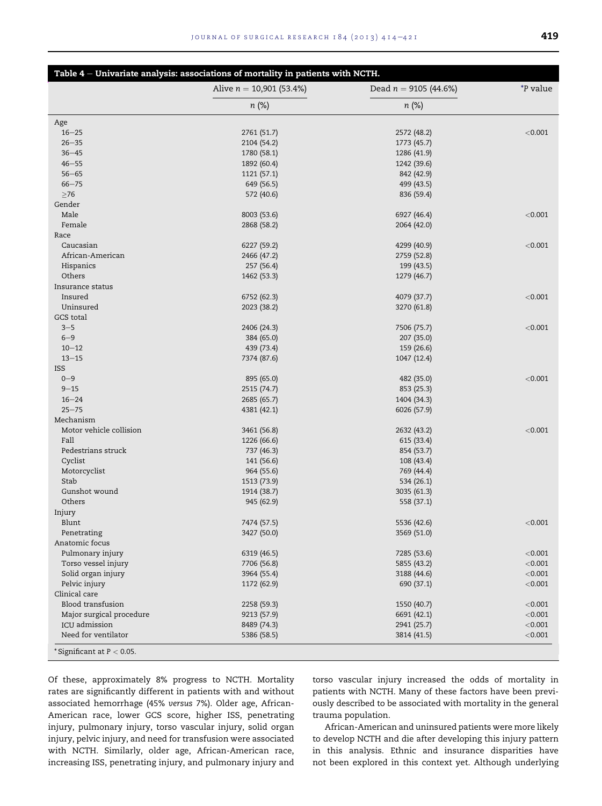|                               | Table 4 - Univariate analysis: associations of mortality in patients with NCTH. |                         |                 |
|-------------------------------|---------------------------------------------------------------------------------|-------------------------|-----------------|
|                               | Alive $n = 10,901$ (53.4%)                                                      | Dead $n = 9105$ (44.6%) | <i>*P</i> value |
|                               | $n (\%)$                                                                        | $n (\%)$                |                 |
| Age                           |                                                                                 |                         |                 |
| $16 - 25$                     | 2761 (51.7)                                                                     | 2572 (48.2)             | < 0.001         |
| $26 - 35$                     | 2104 (54.2)                                                                     | 1773 (45.7)             |                 |
| $36 - 45$                     | 1780 (58.1)                                                                     | 1286 (41.9)             |                 |
| $46 - 55$                     | 1892 (60.4)                                                                     | 1242 (39.6)             |                 |
| $56 - 65$                     | 1121 (57.1)                                                                     | 842 (42.9)              |                 |
| $66 - 75$                     | 649 (56.5)                                                                      | 499 (43.5)              |                 |
| $\geq 76$                     | 572 (40.6)                                                                      | 836 (59.4)              |                 |
| Gender                        |                                                                                 |                         |                 |
| Male                          | 8003 (53.6)                                                                     | 6927 (46.4)             | < 0.001         |
| Female                        | 2868 (58.2)                                                                     | 2064 (42.0)             |                 |
| Race                          |                                                                                 |                         |                 |
| Caucasian                     | 6227 (59.2)                                                                     | 4299 (40.9)             | < 0.001         |
| African-American              | 2466 (47.2)                                                                     | 2759 (52.8)             |                 |
| Hispanics                     | 257 (56.4)                                                                      | 199 (43.5)              |                 |
| Others                        | 1462 (53.3)                                                                     | 1279 (46.7)             |                 |
| Insurance status              |                                                                                 |                         |                 |
| Insured                       | 6752 (62.3)                                                                     | 4079 (37.7)             | < 0.001         |
| Uninsured                     | 2023 (38.2)                                                                     | 3270 (61.8)             |                 |
| GCS total                     |                                                                                 |                         |                 |
| $3 - 5$                       | 2406 (24.3)                                                                     | 7506 (75.7)             | < 0.001         |
| $6 - 9$                       | 384 (65.0)                                                                      | 207 (35.0)              |                 |
| $10 - 12$                     | 439 (73.4)                                                                      | 159 (26.6)              |                 |
| $13 - 15$                     | 7374 (87.6)                                                                     | 1047 (12.4)             |                 |
| <b>ISS</b>                    |                                                                                 |                         |                 |
| $0 - 9$                       | 895 (65.0)                                                                      | 482 (35.0)              | < 0.001         |
| $9 - 15$                      | 2515 (74.7)                                                                     | 853 (25.3)              |                 |
| $16 - 24$                     | 2685 (65.7)                                                                     | 1404 (34.3)             |                 |
| $25 - 75$                     | 4381 (42.1)                                                                     | 6026 (57.9)             |                 |
| Mechanism                     |                                                                                 |                         |                 |
| Motor vehicle collision       | 3461 (56.8)                                                                     | 2632 (43.2)             | < 0.001         |
| Fall                          | 1226 (66.6)                                                                     | 615 (33.4)              |                 |
| Pedestrians struck            | 737 (46.3)                                                                      | 854 (53.7)              |                 |
| Cyclist                       | 141 (56.6)                                                                      | 108 (43.4)              |                 |
| Motorcyclist                  | 964 (55.6)                                                                      | 769 (44.4)              |                 |
| Stab                          | 1513 (73.9)                                                                     | 534 (26.1)              |                 |
| Gunshot wound                 |                                                                                 |                         |                 |
| Others                        | 1914 (38.7)                                                                     | 3035 (61.3)             |                 |
|                               | 945 (62.9)                                                                      | 558 (37.1)              |                 |
| Injury<br>Blunt               |                                                                                 |                         | < 0.001         |
|                               | 7474 (57.5)                                                                     | 5536 (42.6)             |                 |
| Penetrating<br>Anatomic focus | 3427 (50.0)                                                                     | 3569 (51.0)             |                 |
|                               |                                                                                 |                         |                 |
| Pulmonary injury              | 6319 (46.5)                                                                     | 7285 (53.6)             | < 0.001         |
| Torso vessel injury           | 7706 (56.8)                                                                     | 5855 (43.2)             | < 0.001         |
| Solid organ injury            | 3964 (55.4)                                                                     | 3188 (44.6)             | < 0.001         |
| Pelvic injury                 | 1172 (62.9)                                                                     | 690 (37.1)              | < 0.001         |
| Clinical care                 |                                                                                 |                         |                 |
| Blood transfusion             | 2258 (59.3)                                                                     | 1550 (40.7)             | < 0.001         |
| Major surgical procedure      | 9213 (57.9)                                                                     | 6691 (42.1)             | < 0.001         |
| ICU admission                 | 8489 (74.3)                                                                     | 2941 (25.7)             | < 0.001         |
| Need for ventilator           | 5386 (58.5)                                                                     | 3814 (41.5)             | < 0.001         |
| *Significant at $P < 0.05$ .  |                                                                                 |                         |                 |

Of these, approximately 8% progress to NCTH. Mortality rates are significantly different in patients with and without associated hemorrhage (45% versus 7%). Older age, African-American race, lower GCS score, higher ISS, penetrating injury, pulmonary injury, torso vascular injury, solid organ injury, pelvic injury, and need for transfusion were associated with NCTH. Similarly, older age, African-American race, increasing ISS, penetrating injury, and pulmonary injury and

torso vascular injury increased the odds of mortality in patients with NCTH. Many of these factors have been previously described to be associated with mortality in the general trauma population.

African-American and uninsured patients were more likely to develop NCTH and die after developing this injury pattern in this analysis. Ethnic and insurance disparities have not been explored in this context yet. Although underlying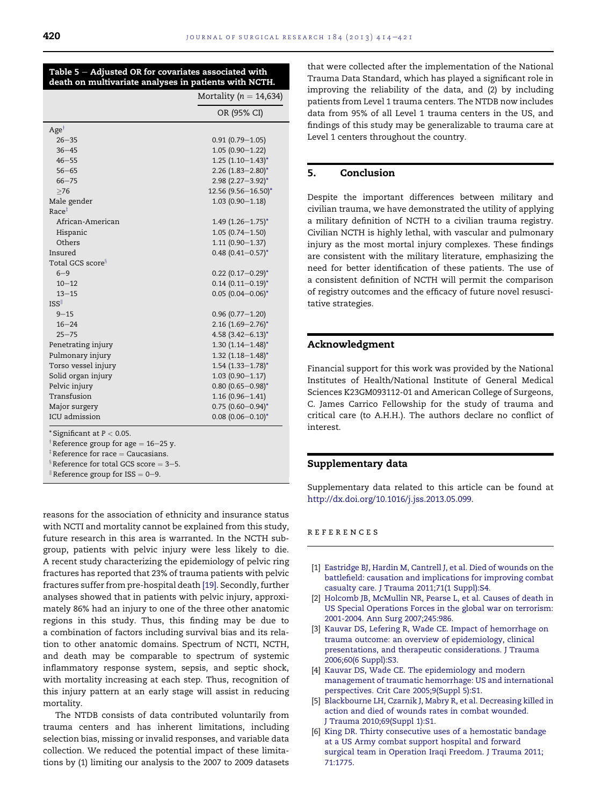| Table $5 -$ Adjusted OR for covariates associated with |  |  |
|--------------------------------------------------------|--|--|
| death on multivariate analyses in patients with NCTH.  |  |  |

|                                                  | Mortality ( $n = 14,634$ )      |
|--------------------------------------------------|---------------------------------|
|                                                  | OR (95% CI)                     |
| $Age^{\dagger}$                                  |                                 |
| $26 - 35$                                        | $0.91(0.79 - 1.05)$             |
| $36 - 45$                                        | $1.05(0.90 - 1.22)$             |
| $46 - 55$                                        | $1.25$ (1.10-1.43) <sup>*</sup> |
| $56 - 65$                                        | $2.26$ (1.83-2.80) <sup>*</sup> |
| $66 - 75$                                        | $2.98$ (2.27-3.92) <sup>*</sup> |
| >76                                              | 12.56 (9.56-16.50)*             |
| Male gender                                      | $1.03(0.90 - 1.18)$             |
| Race <sup>‡</sup>                                |                                 |
| African-American                                 | $1.49$ (1.26-1.75) <sup>*</sup> |
| Hispanic                                         | $1.05(0.74 - 1.50)$             |
| Others                                           | $1.11(0.90 - 1.37)$             |
| Insured                                          | $0.48$ (0.41-0.57) <sup>*</sup> |
| Total GCS score <sup>§</sup>                     |                                 |
| $6 - 9$                                          | $0.22$ (0.17-0.29) <sup>*</sup> |
| $10 - 12$                                        | $0.14$ (0.11-0.19) <sup>*</sup> |
| $13 - 15$                                        | $0.05$ (0.04-0.06) <sup>*</sup> |
| <b>ISS</b>                                       |                                 |
| $9 - 15$                                         | $0.96(0.77 - 1.20)$             |
| $16 - 24$                                        | $2.16$ (1.69-2.76) <sup>*</sup> |
| $25 - 75$                                        | $4.58$ (3.42-6.13) <sup>*</sup> |
| Penetrating injury                               | $1.30(1.14 - 1.48)^{*}$         |
| Pulmonary injury                                 | $1.32$ $(1.18 - 1.48)^*$        |
| Torso vessel injury                              | $1.54$ (1.33-1.78) <sup>*</sup> |
| Solid organ injury                               | $1.03(0.90 - 1.17)$             |
| Pelvic injury                                    | $0.80$ (0.65-0.98)*             |
| Transfusion                                      | $1.16(0.96 - 1.41)$             |
| Major surgery                                    | $0.75$ (0.60-0.94) <sup>*</sup> |
| ICU admission                                    | $0.08$ (0.06-0.10) <sup>*</sup> |
| * Significant at $P < 0.05$ .                    |                                 |
| <sup>†</sup> Reference group for age = 16–25 y.  |                                 |
| ${}^{\ddagger}$ Reference for race = Caucasians. |                                 |

<sup>‡</sup> Reference for race = Caucasians.<br><sup>§</sup> Reference for total GCS score = 3<mark>–5</mark>.

 $\textsf{R}$  Reference group for ISS = 0-9.

reasons for the association of ethnicity and insurance status with NCTI and mortality cannot be explained from this study, future research in this area is warranted. In the NCTH subgroup, patients with pelvic injury were less likely to die. A recent study characterizing the epidemiology of pelvic ring fractures has reported that 23% of trauma patients with pelvic fractures suffer from pre-hospital death [19]. Secondly, further analyses showed that in patients with pelvic injury, approximately 86% had an injury to one of the three other anatomic regions in this study. Thus, this finding may be due to a combination of factors including survival bias and its relation to other anatomic domains. Spectrum of NCTI, NCTH, and death may be comparable to spectrum of systemic inflammatory response system, sepsis, and septic shock, with mortality increasing at each step. Thus, recognition of this injury pattern at an early stage will assist in reducing mortality.

The NTDB consists of data contributed voluntarily from trauma centers and has inherent limitations, including selection bias, missing or invalid responses, and variable data collection. We reduced the potential impact of these limitations by (1) limiting our analysis to the 2007 to 2009 datasets

that were collected after the implementation of the National Trauma Data Standard, which has played a significant role in improving the reliability of the data, and (2) by including patients from Level 1 trauma centers. The NTDB now includes data from 95% of all Level 1 trauma centers in the US, and findings of this study may be generalizable to trauma care at Level 1 centers throughout the country.

#### 5. Conclusion

Despite the important differences between military and civilian trauma, we have demonstrated the utility of applying a military definition of NCTH to a civilian trauma registry. Civilian NCTH is highly lethal, with vascular and pulmonary injury as the most mortal injury complexes. These findings are consistent with the military literature, emphasizing the need for better identification of these patients. The use of a consistent definition of NCTH will permit the comparison of registry outcomes and the efficacy of future novel resuscitative strategies.

#### Acknowledgment

Financial support for this work was provided by the National Institutes of Health/National Institute of General Medical Sciences K23GM093112-01 and American College of Surgeons, C. James Carrico Fellowship for the study of trauma and critical care (to A.H.H.). The authors declare no conflict of interest.

#### Supplementary data

Supplementary data related to this article can be found at http://dx.doi.org/10.1016/j.jss.2013.05.099.

references

- [1] Eastridge BJ, Hardin M, Cantrell J, et al. Died of wounds on the battlefield: causation and implications for improving combat casualty care. J Trauma 2011;71(1 Suppl):S4.
- [2] Holcomb JB, McMullin NR, Pearse L, et al. Causes of death in US Special Operations Forces in the global war on terrorism: 2001-2004. Ann Surg 2007;245:986.
- [3] Kauvar DS, Lefering R, Wade CE. Impact of hemorrhage on trauma outcome: an overview of epidemiology, clinical presentations, and therapeutic considerations. J Trauma 2006;60(6 Suppl):S3.
- [4] Kauvar DS, Wade CE. The epidemiology and modern management of traumatic hemorrhage: US and international perspectives. Crit Care 2005;9(Suppl 5):S1.
- [5] Blackbourne LH, Czarnik J, Mabry R, et al. Decreasing killed in action and died of wounds rates in combat wounded. J Trauma 2010;69(Suppl 1):S1.
- [6] King DR. Thirty consecutive uses of a hemostatic bandage at a US Army combat support hospital and forward surgical team in Operation Iraqi Freedom. J Trauma 2011; 71:1775.